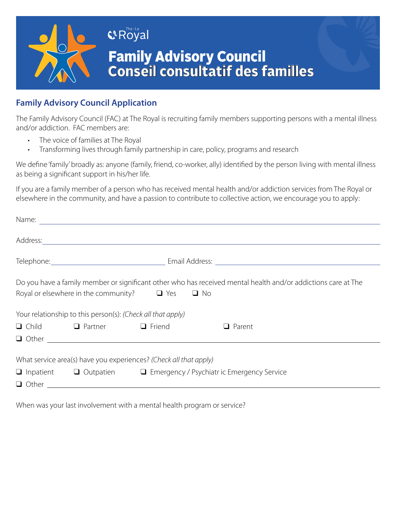

## **Family Advisory Council Application**

The Family Advisory Council (FAC) at The Royal is recruiting family members supporting persons with a mental illness and/or addiction. FAC members are:

- The voice of families at The Royal
- Transforming lives through family partnership in care, policy, programs and research

We define 'family' broadly as: anyone (family, friend, co-worker, ally) identified by the person living with mental illness as being a significant support in his/her life.

If you are a family member of a person who has received mental health and/or addiction services from The Royal or elsewhere in the community, and have a passion to contribute to collective action, we encourage you to apply:

|  |                                                                                     |                                                                   | Name:                                                                                                         |  |
|--|-------------------------------------------------------------------------------------|-------------------------------------------------------------------|---------------------------------------------------------------------------------------------------------------|--|
|  |                                                                                     |                                                                   |                                                                                                               |  |
|  |                                                                                     |                                                                   |                                                                                                               |  |
|  |                                                                                     | Royal or elsewhere in the community? $\Box$ Yes $\Box$ No         | Do you have a family member or significant other who has received mental health and/or addictions care at The |  |
|  | Your relationship to this person(s): (Check all that apply)                         |                                                                   |                                                                                                               |  |
|  | □ Child □ Partner □ Friend                                                          |                                                                   | $\Box$ Parent                                                                                                 |  |
|  |                                                                                     |                                                                   |                                                                                                               |  |
|  |                                                                                     | What service area(s) have you experiences? (Check all that apply) |                                                                                                               |  |
|  | $\Box$ Inpatient $\Box$ Outpatien $\Box$ Emergency / Psychiatr ic Emergency Service |                                                                   |                                                                                                               |  |
|  |                                                                                     |                                                                   |                                                                                                               |  |
|  |                                                                                     |                                                                   |                                                                                                               |  |

When was your last involvement with a mental health program or service?